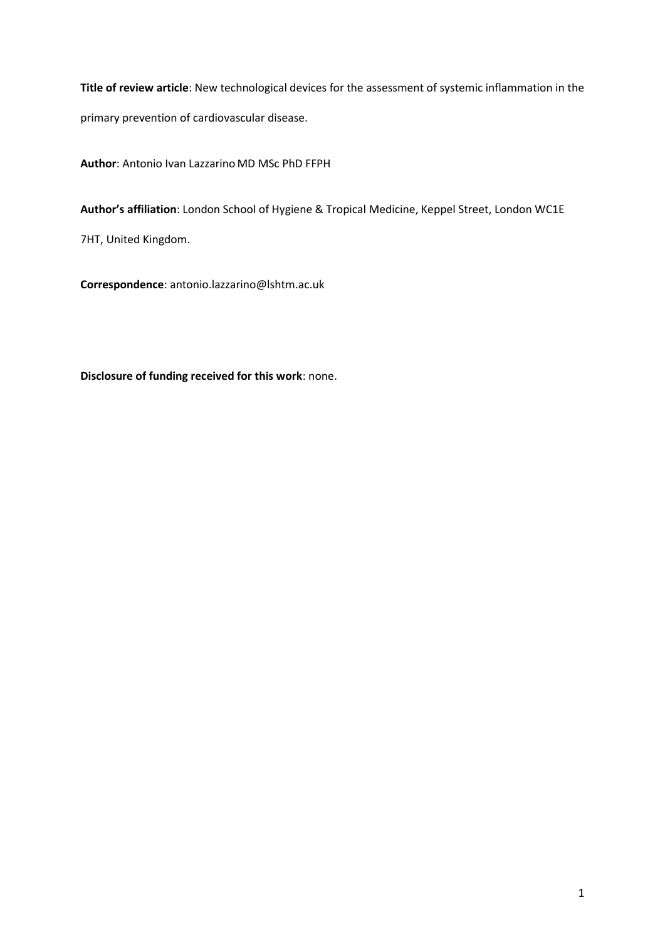**Title of review article**: New technological devices for the assessment of systemic inflammation in the primary prevention of cardiovascular disease.

**Author**: Antonio Ivan Lazzarino MD MSc PhD FFPH

**Author's affiliation**: London School of Hygiene & Tropical Medicine, Keppel Street, London WC1E

7HT, United Kingdom.

**Correspondence**: antonio.lazzarino@lshtm.ac.uk

**Disclosure of funding received for this work**: none.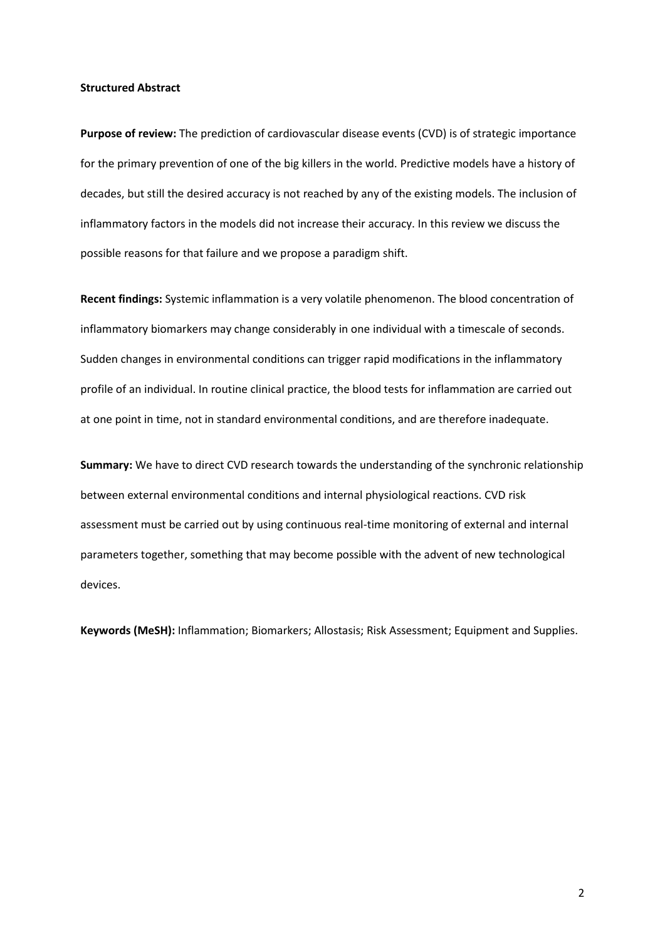#### **Structured Abstract**

**Purpose of review:** The prediction of cardiovascular disease events (CVD) is of strategic importance for the primary prevention of one of the big killers in the world. Predictive models have a history of decades, but still the desired accuracy is not reached by any of the existing models. The inclusion of inflammatory factors in the models did not increase their accuracy. In this review we discuss the possible reasons for that failure and we propose a paradigm shift.

**Recent findings:** Systemic inflammation is a very volatile phenomenon. The blood concentration of inflammatory biomarkers may change considerably in one individual with a timescale of seconds. Sudden changes in environmental conditions can trigger rapid modifications in the inflammatory profile of an individual. In routine clinical practice, the blood tests for inflammation are carried out at one point in time, not in standard environmental conditions, and are therefore inadequate.

**Summary:** We have to direct CVD research towards the understanding of the synchronic relationship between external environmental conditions and internal physiological reactions. CVD risk assessment must be carried out by using continuous real-time monitoring of external and internal parameters together, something that may become possible with the advent of new technological devices.

**Keywords (MeSH):** Inflammation; Biomarkers; Allostasis; Risk Assessment; Equipment and Supplies.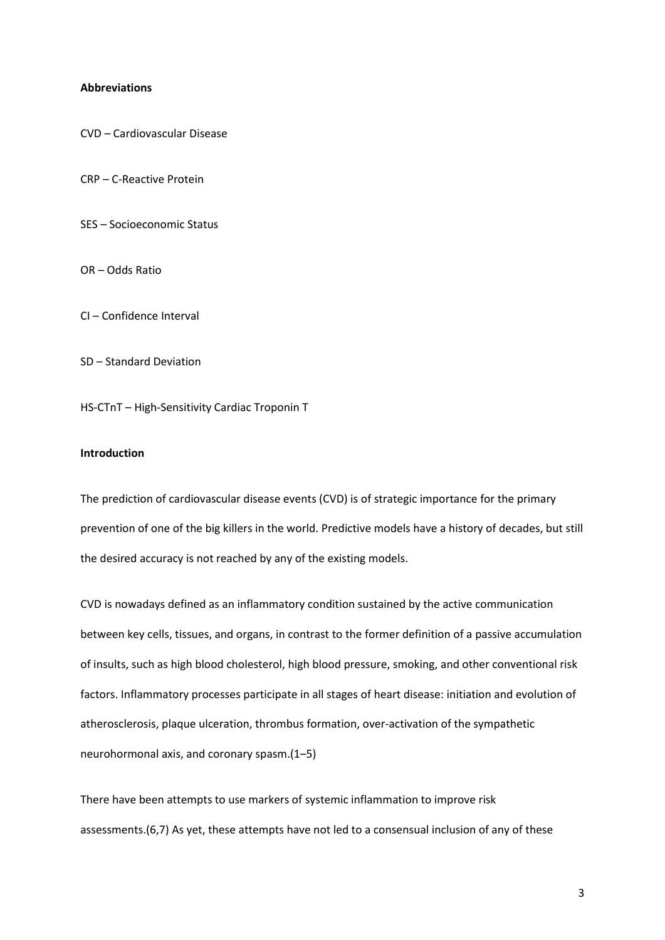### **Abbreviations**

CVD – Cardiovascular Disease

CRP – C-Reactive Protein

SES – Socioeconomic Status

OR – Odds Ratio

CI – Confidence Interval

SD – Standard Deviation

HS-CTnT – High-Sensitivity Cardiac Troponin T

### **Introduction**

The prediction of cardiovascular disease events (CVD) is of strategic importance for the primary prevention of one of the big killers in the world. Predictive models have a history of decades, but still the desired accuracy is not reached by any of the existing models.

CVD is nowadays defined as an inflammatory condition sustained by the active communication between key cells, tissues, and organs, in contrast to the former definition of a passive accumulation of insults, such as high blood cholesterol, high blood pressure, smoking, and other conventional risk factors. Inflammatory processes participate in all stages of heart disease: initiation and evolution of atherosclerosis, plaque ulceration, thrombus formation, over-activation of the sympathetic neurohormonal axis, and coronary spasm.(1–5)

There have been attempts to use markers of systemic inflammation to improve risk assessments.(6,7) As yet, these attempts have not led to a consensual inclusion of any of these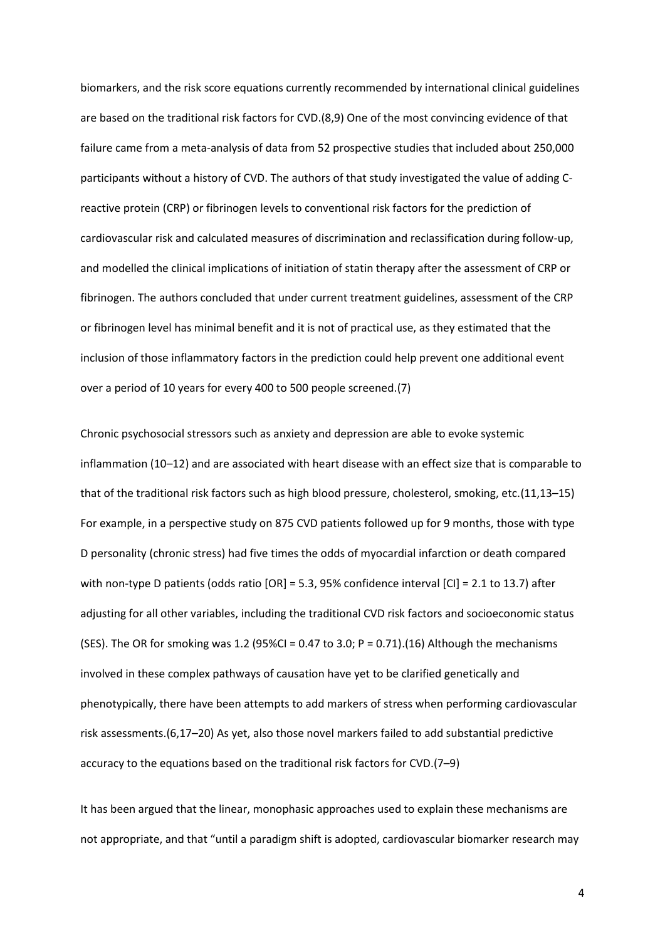biomarkers, and the risk score equations currently recommended by international clinical guidelines are based on the traditional risk factors for CVD.(8,9) One of the most convincing evidence of that failure came from a meta-analysis of data from 52 prospective studies that included about 250,000 participants without a history of CVD. The authors of that study investigated the value of adding Creactive protein (CRP) or fibrinogen levels to conventional risk factors for the prediction of cardiovascular risk and calculated measures of discrimination and reclassification during follow-up, and modelled the clinical implications of initiation of statin therapy after the assessment of CRP or fibrinogen. The authors concluded that under current treatment guidelines, assessment of the CRP or fibrinogen level has minimal benefit and it is not of practical use, as they estimated that the inclusion of those inflammatory factors in the prediction could help prevent one additional event over a period of 10 years for every 400 to 500 people screened.(7)

Chronic psychosocial stressors such as anxiety and depression are able to evoke systemic inflammation (10–12) and are associated with heart disease with an effect size that is comparable to that of the traditional risk factors such as high blood pressure, cholesterol, smoking, etc.(11,13–15) For example, in a perspective study on 875 CVD patients followed up for 9 months, those with type D personality (chronic stress) had five times the odds of myocardial infarction or death compared with non-type D patients (odds ratio [OR] = 5.3, 95% confidence interval [CI] = 2.1 to 13.7) after adjusting for all other variables, including the traditional CVD risk factors and socioeconomic status (SES). The OR for smoking was 1.2 (95%CI = 0.47 to 3.0;  $P = 0.71$ ).(16) Although the mechanisms involved in these complex pathways of causation have yet to be clarified genetically and phenotypically, there have been attempts to add markers of stress when performing cardiovascular risk assessments.(6,17–20) As yet, also those novel markers failed to add substantial predictive accuracy to the equations based on the traditional risk factors for CVD.(7–9)

It has been argued that the linear, monophasic approaches used to explain these mechanisms are not appropriate, and that "until a paradigm shift is adopted, cardiovascular biomarker research may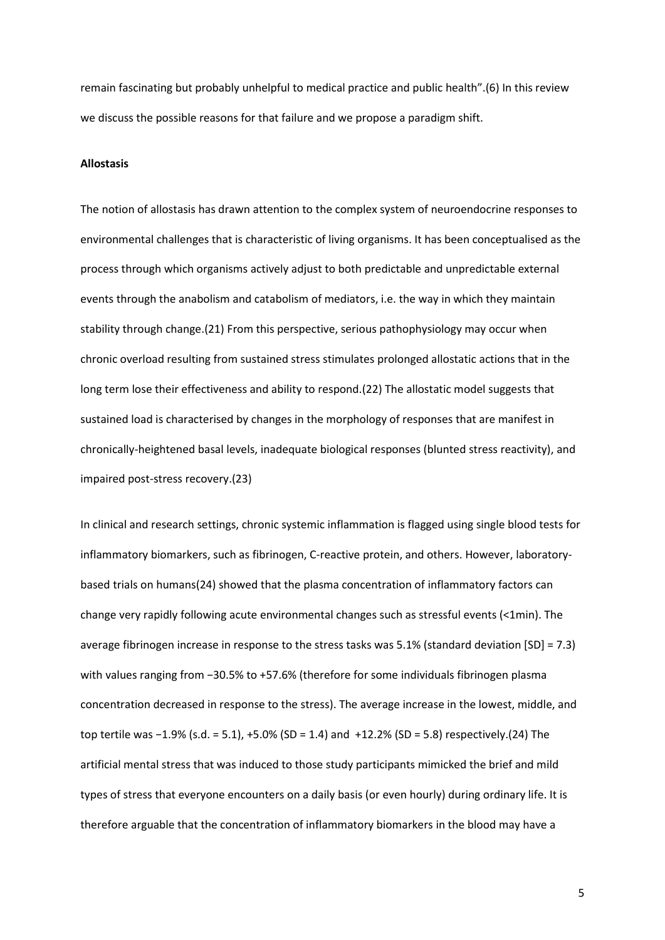remain fascinating but probably unhelpful to medical practice and public health".(6) In this review we discuss the possible reasons for that failure and we propose a paradigm shift.

### **Allostasis**

The notion of allostasis has drawn attention to the complex system of neuroendocrine responses to environmental challenges that is characteristic of living organisms. It has been conceptualised as the process through which organisms actively adjust to both predictable and unpredictable external events through the anabolism and catabolism of mediators, i.e. the way in which they maintain stability through change.(21) From this perspective, serious pathophysiology may occur when chronic overload resulting from sustained stress stimulates prolonged allostatic actions that in the long term lose their effectiveness and ability to respond.(22) The allostatic model suggests that sustained load is characterised by changes in the morphology of responses that are manifest in chronically-heightened basal levels, inadequate biological responses (blunted stress reactivity), and impaired post-stress recovery.(23)

In clinical and research settings, chronic systemic inflammation is flagged using single blood tests for inflammatory biomarkers, such as fibrinogen, C-reactive protein, and others. However, laboratorybased trials on humans(24) showed that the plasma concentration of inflammatory factors can change very rapidly following acute environmental changes such as stressful events (<1min). The average fibrinogen increase in response to the stress tasks was 5.1% (standard deviation [SD] = 7.3) with values ranging from −30.5% to +57.6% (therefore for some individuals fibrinogen plasma concentration decreased in response to the stress). The average increase in the lowest, middle, and top tertile was −1.9% (s.d. = 5.1), +5.0% (SD = 1.4) and +12.2% (SD = 5.8) respectively.(24) The artificial mental stress that was induced to those study participants mimicked the brief and mild types of stress that everyone encounters on a daily basis (or even hourly) during ordinary life. It is therefore arguable that the concentration of inflammatory biomarkers in the blood may have a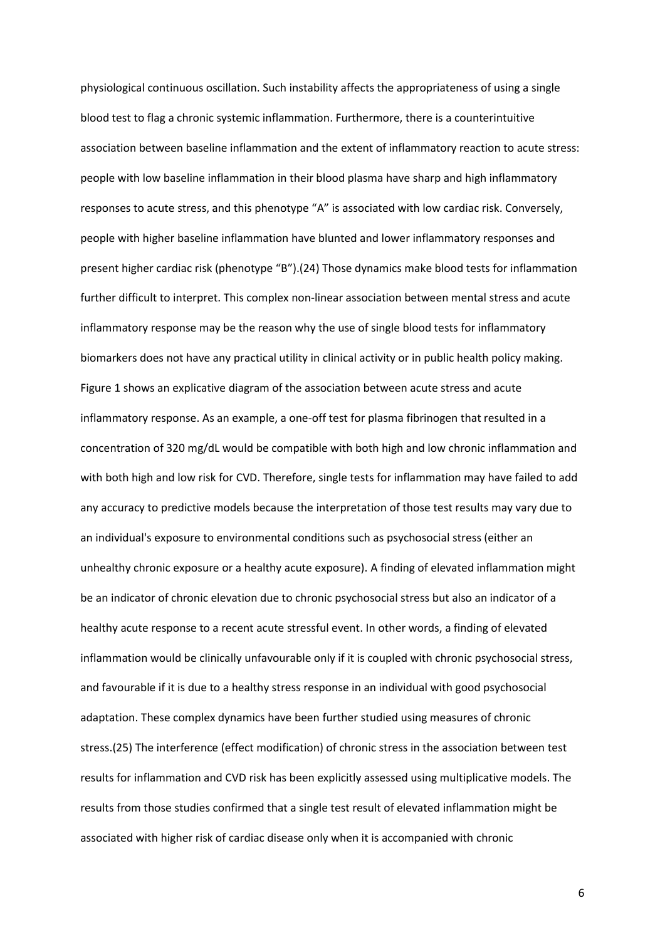physiological continuous oscillation. Such instability affects the appropriateness of using a single blood test to flag a chronic systemic inflammation. Furthermore, there is a counterintuitive association between baseline inflammation and the extent of inflammatory reaction to acute stress: people with low baseline inflammation in their blood plasma have sharp and high inflammatory responses to acute stress, and this phenotype "A" is associated with low cardiac risk. Conversely, people with higher baseline inflammation have blunted and lower inflammatory responses and present higher cardiac risk (phenotype "B").(24) Those dynamics make blood tests for inflammation further difficult to interpret. This complex non-linear association between mental stress and acute inflammatory response may be the reason why the use of single blood tests for inflammatory biomarkers does not have any practical utility in clinical activity or in public health policy making. Figure 1 shows an explicative diagram of the association between acute stress and acute inflammatory response. As an example, a one-off test for plasma fibrinogen that resulted in a concentration of 320 mg/dL would be compatible with both high and low chronic inflammation and with both high and low risk for CVD. Therefore, single tests for inflammation may have failed to add any accuracy to predictive models because the interpretation of those test results may vary due to an individual's exposure to environmental conditions such as psychosocial stress (either an unhealthy chronic exposure or a healthy acute exposure). A finding of elevated inflammation might be an indicator of chronic elevation due to chronic psychosocial stress but also an indicator of a healthy acute response to a recent acute stressful event. In other words, a finding of elevated inflammation would be clinically unfavourable only if it is coupled with chronic psychosocial stress, and favourable if it is due to a healthy stress response in an individual with good psychosocial adaptation. These complex dynamics have been further studied using measures of chronic stress.(25) The interference (effect modification) of chronic stress in the association between test results for inflammation and CVD risk has been explicitly assessed using multiplicative models. The results from those studies confirmed that a single test result of elevated inflammation might be associated with higher risk of cardiac disease only when it is accompanied with chronic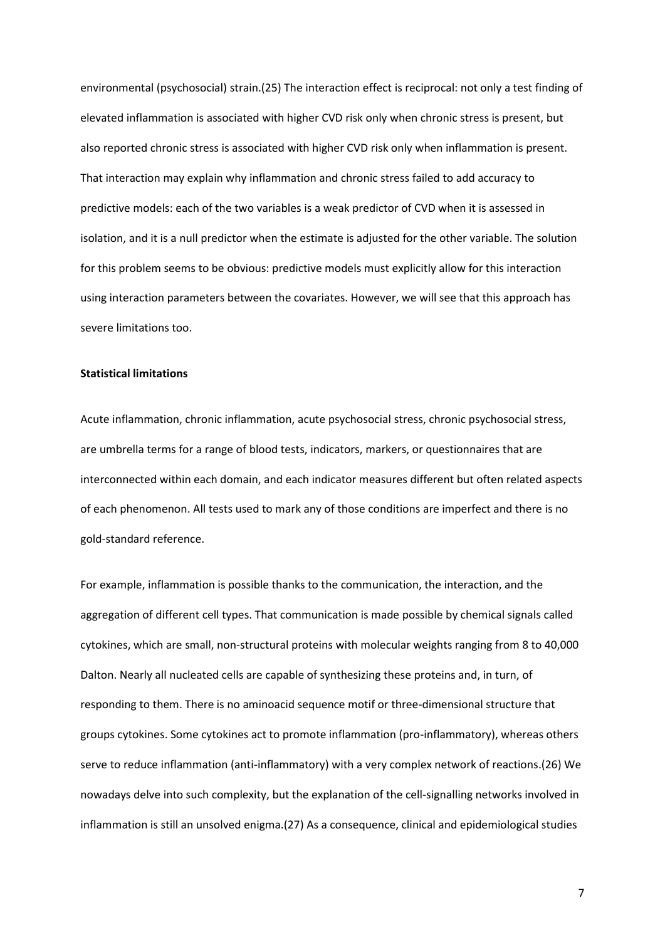environmental (psychosocial) strain.(25) The interaction effect is reciprocal: not only a test finding of elevated inflammation is associated with higher CVD risk only when chronic stress is present, but also reported chronic stress is associated with higher CVD risk only when inflammation is present. That interaction may explain why inflammation and chronic stress failed to add accuracy to predictive models: each of the two variables is a weak predictor of CVD when it is assessed in isolation, and it is a null predictor when the estimate is adjusted for the other variable. The solution for this problem seems to be obvious: predictive models must explicitly allow for this interaction using interaction parameters between the covariates. However, we will see that this approach has severe limitations too.

# **Statistical limitations**

Acute inflammation, chronic inflammation, acute psychosocial stress, chronic psychosocial stress, are umbrella terms for a range of blood tests, indicators, markers, or questionnaires that are interconnected within each domain, and each indicator measures different but often related aspects of each phenomenon. All tests used to mark any of those conditions are imperfect and there is no gold-standard reference.

For example, inflammation is possible thanks to the communication, the interaction, and the aggregation of different cell types. That communication is made possible by chemical signals called cytokines, which are small, non-structural proteins with molecular weights ranging from 8 to 40,000 Dalton. Nearly all nucleated cells are capable of synthesizing these proteins and, in turn, of responding to them. There is no aminoacid sequence motif or three-dimensional structure that groups cytokines. Some cytokines act to promote inflammation (pro-inflammatory), whereas others serve to reduce inflammation (anti-inflammatory) with a very complex network of reactions.(26) We nowadays delve into such complexity, but the explanation of the cell-signalling networks involved in inflammation is still an unsolved enigma.(27) As a consequence, clinical and epidemiological studies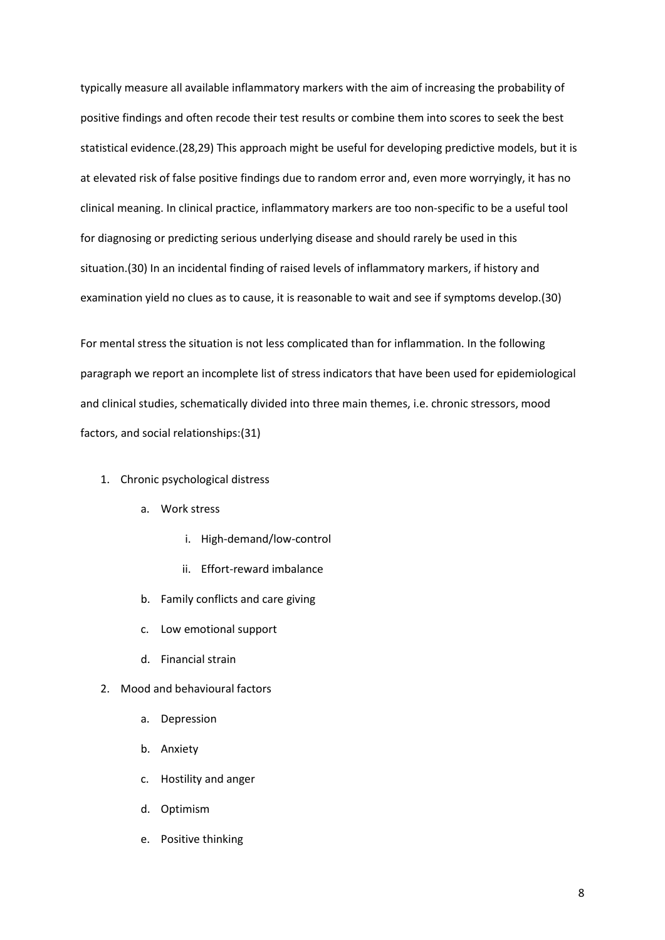typically measure all available inflammatory markers with the aim of increasing the probability of positive findings and often recode their test results or combine them into scores to seek the best statistical evidence.(28,29) This approach might be useful for developing predictive models, but it is at elevated risk of false positive findings due to random error and, even more worryingly, it has no clinical meaning. In clinical practice, inflammatory markers are too non-specific to be a useful tool for diagnosing or predicting serious underlying disease and should rarely be used in this situation.(30) In an incidental finding of raised levels of inflammatory markers, if history and examination yield no clues as to cause, it is reasonable to wait and see if symptoms develop.(30)

For mental stress the situation is not less complicated than for inflammation. In the following paragraph we report an incomplete list of stress indicators that have been used for epidemiological and clinical studies, schematically divided into three main themes, i.e. chronic stressors, mood factors, and social relationships:(31)

- 1. Chronic psychological distress
	- a. Work stress
		- i. High-demand/low-control
		- ii. Effort-reward imbalance
	- b. Family conflicts and care giving
	- c. Low emotional support
	- d. Financial strain
- 2. Mood and behavioural factors
	- a. Depression
	- b. Anxiety
	- c. Hostility and anger
	- d. Optimism
	- e. Positive thinking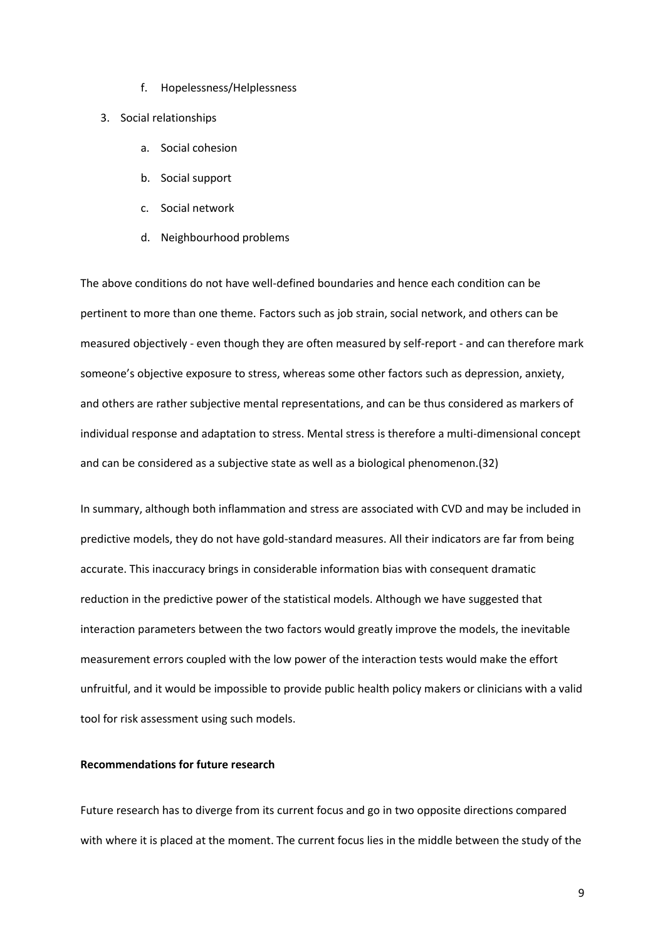- f. Hopelessness/Helplessness
- 3. Social relationships
	- a. Social cohesion
	- b. Social support
	- c. Social network
	- d. Neighbourhood problems

The above conditions do not have well-defined boundaries and hence each condition can be pertinent to more than one theme. Factors such as job strain, social network, and others can be measured objectively - even though they are often measured by self-report - and can therefore mark someone's objective exposure to stress, whereas some other factors such as depression, anxiety, and others are rather subjective mental representations, and can be thus considered as markers of individual response and adaptation to stress. Mental stress is therefore a multi-dimensional concept and can be considered as a subjective state as well as a biological phenomenon.(32)

In summary, although both inflammation and stress are associated with CVD and may be included in predictive models, they do not have gold-standard measures. All their indicators are far from being accurate. This inaccuracy brings in considerable information bias with consequent dramatic reduction in the predictive power of the statistical models. Although we have suggested that interaction parameters between the two factors would greatly improve the models, the inevitable measurement errors coupled with the low power of the interaction tests would make the effort unfruitful, and it would be impossible to provide public health policy makers or clinicians with a valid tool for risk assessment using such models.

### **Recommendations for future research**

Future research has to diverge from its current focus and go in two opposite directions compared with where it is placed at the moment. The current focus lies in the middle between the study of the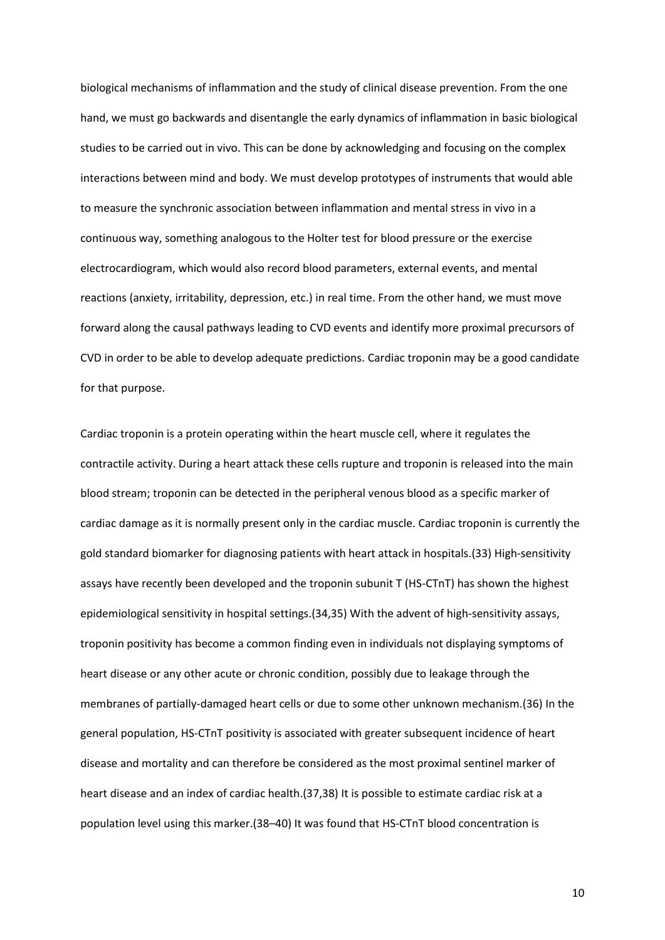biological mechanisms of inflammation and the study of clinical disease prevention. From the one hand, we must go backwards and disentangle the early dynamics of inflammation in basic biological studies to be carried out in vivo. This can be done by acknowledging and focusing on the complex interactions between mind and body. We must develop prototypes of instruments that would able to measure the synchronic association between inflammation and mental stress in vivo in a continuous way, something analogous to the Holter test for blood pressure or the exercise electrocardiogram, which would also record blood parameters, external events, and mental reactions (anxiety, irritability, depression, etc.) in real time. From the other hand, we must move forward along the causal pathways leading to CVD events and identify more proximal precursors of CVD in order to be able to develop adequate predictions. Cardiac troponin may be a good candidate for that purpose.

Cardiac troponin is a protein operating within the heart muscle cell, where it regulates the contractile activity. During a heart attack these cells rupture and troponin is released into the main blood stream; troponin can be detected in the peripheral venous blood as a specific marker of cardiac damage as it is normally present only in the cardiac muscle. Cardiac troponin is currently the gold standard biomarker for diagnosing patients with heart attack in hospitals.(33) High-sensitivity assays have recently been developed and the troponin subunit T (HS-CTnT) has shown the highest epidemiological sensitivity in hospital settings.(34,35) With the advent of high-sensitivity assays, troponin positivity has become a common finding even in individuals not displaying symptoms of heart disease or any other acute or chronic condition, possibly due to leakage through the membranes of partially-damaged heart cells or due to some other unknown mechanism.(36) In the general population, HS-CTnT positivity is associated with greater subsequent incidence of heart disease and mortality and can therefore be considered as the most proximal sentinel marker of heart disease and an index of cardiac health.(37,38) It is possible to estimate cardiac risk at a population level using this marker.(38–40) It was found that HS-CTnT blood concentration is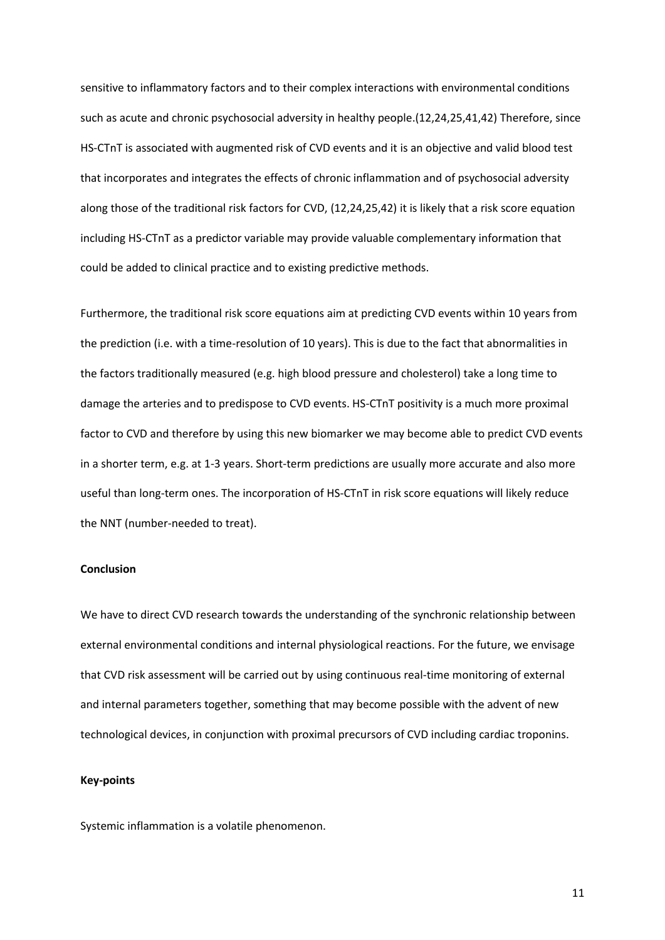sensitive to inflammatory factors and to their complex interactions with environmental conditions such as acute and chronic psychosocial adversity in healthy people.(12,24,25,41,42) Therefore, since HS-CTnT is associated with augmented risk of CVD events and it is an objective and valid blood test that incorporates and integrates the effects of chronic inflammation and of psychosocial adversity along those of the traditional risk factors for CVD, (12,24,25,42) it is likely that a risk score equation including HS-CTnT as a predictor variable may provide valuable complementary information that could be added to clinical practice and to existing predictive methods.

Furthermore, the traditional risk score equations aim at predicting CVD events within 10 years from the prediction (i.e. with a time-resolution of 10 years). This is due to the fact that abnormalities in the factors traditionally measured (e.g. high blood pressure and cholesterol) take a long time to damage the arteries and to predispose to CVD events. HS-CTnT positivity is a much more proximal factor to CVD and therefore by using this new biomarker we may become able to predict CVD events in a shorter term, e.g. at 1-3 years. Short-term predictions are usually more accurate and also more useful than long-term ones. The incorporation of HS-CTnT in risk score equations will likely reduce the NNT (number-needed to treat).

#### **Conclusion**

We have to direct CVD research towards the understanding of the synchronic relationship between external environmental conditions and internal physiological reactions. For the future, we envisage that CVD risk assessment will be carried out by using continuous real-time monitoring of external and internal parameters together, something that may become possible with the advent of new technological devices, in conjunction with proximal precursors of CVD including cardiac troponins.

### **Key-points**

Systemic inflammation is a volatile phenomenon.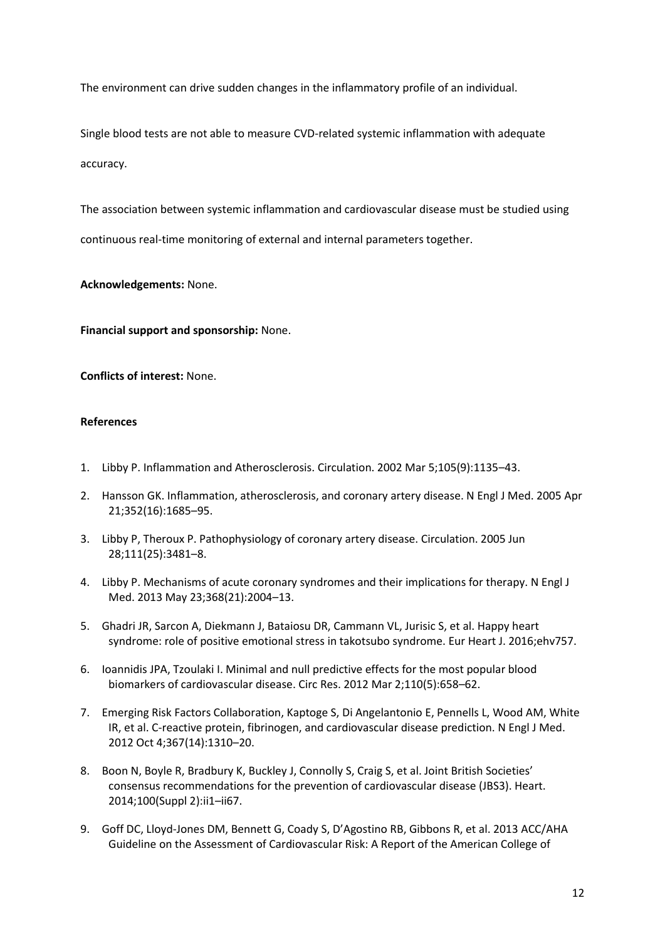The environment can drive sudden changes in the inflammatory profile of an individual.

Single blood tests are not able to measure CVD-related systemic inflammation with adequate accuracy.

The association between systemic inflammation and cardiovascular disease must be studied using continuous real-time monitoring of external and internal parameters together.

**Acknowledgements:** None.

**Financial support and sponsorship:** None.

**Conflicts of interest:** None.

# **References**

- 1. Libby P. Inflammation and Atherosclerosis. Circulation. 2002 Mar 5;105(9):1135–43.
- 2. Hansson GK. Inflammation, atherosclerosis, and coronary artery disease. N Engl J Med. 2005 Apr 21;352(16):1685–95.
- 3. Libby P, Theroux P. Pathophysiology of coronary artery disease. Circulation. 2005 Jun 28;111(25):3481–8.
- 4. Libby P. Mechanisms of acute coronary syndromes and their implications for therapy. N Engl J Med. 2013 May 23;368(21):2004–13.
- 5. Ghadri JR, Sarcon A, Diekmann J, Bataiosu DR, Cammann VL, Jurisic S, et al. Happy heart syndrome: role of positive emotional stress in takotsubo syndrome. Eur Heart J. 2016;ehv757.
- 6. Ioannidis JPA, Tzoulaki I. Minimal and null predictive effects for the most popular blood biomarkers of cardiovascular disease. Circ Res. 2012 Mar 2;110(5):658–62.
- 7. Emerging Risk Factors Collaboration, Kaptoge S, Di Angelantonio E, Pennells L, Wood AM, White IR, et al. C-reactive protein, fibrinogen, and cardiovascular disease prediction. N Engl J Med. 2012 Oct 4;367(14):1310–20.
- 8. Boon N, Boyle R, Bradbury K, Buckley J, Connolly S, Craig S, et al. Joint British Societies' consensus recommendations for the prevention of cardiovascular disease (JBS3). Heart. 2014;100(Suppl 2):ii1–ii67.
- 9. Goff DC, Lloyd-Jones DM, Bennett G, Coady S, D'Agostino RB, Gibbons R, et al. 2013 ACC/AHA Guideline on the Assessment of Cardiovascular Risk: A Report of the American College of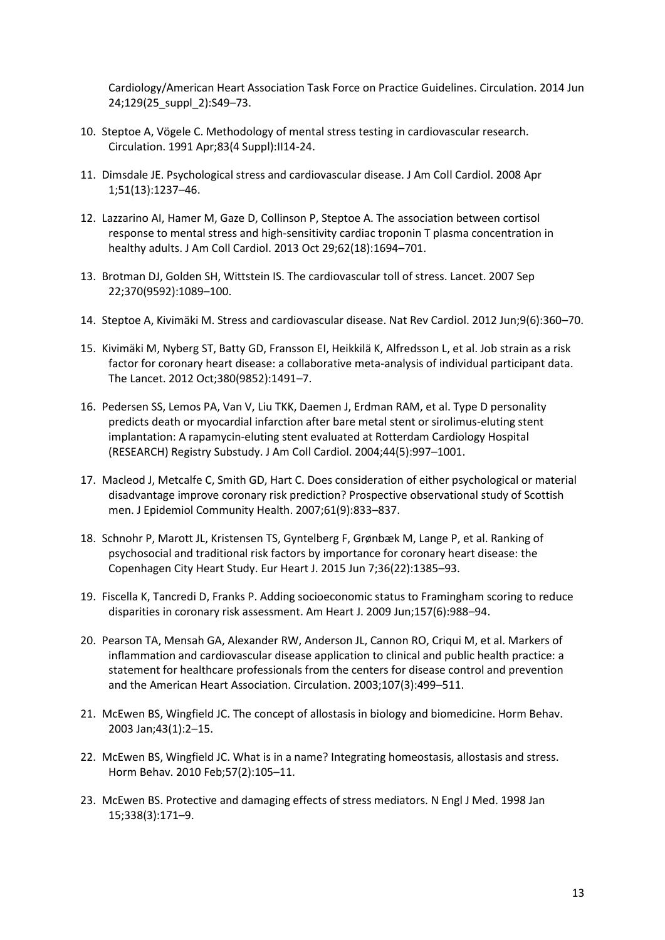Cardiology/American Heart Association Task Force on Practice Guidelines. Circulation. 2014 Jun 24;129(25\_suppl\_2):S49–73.

- 10. Steptoe A, Vögele C. Methodology of mental stress testing in cardiovascular research. Circulation. 1991 Apr;83(4 Suppl):II14-24.
- 11. Dimsdale JE. Psychological stress and cardiovascular disease. J Am Coll Cardiol. 2008 Apr 1;51(13):1237–46.
- 12. Lazzarino AI, Hamer M, Gaze D, Collinson P, Steptoe A. The association between cortisol response to mental stress and high-sensitivity cardiac troponin T plasma concentration in healthy adults. J Am Coll Cardiol. 2013 Oct 29;62(18):1694–701.
- 13. Brotman DJ, Golden SH, Wittstein IS. The cardiovascular toll of stress. Lancet. 2007 Sep 22;370(9592):1089–100.
- 14. Steptoe A, Kivimäki M. Stress and cardiovascular disease. Nat Rev Cardiol. 2012 Jun;9(6):360–70.
- 15. Kivimäki M, Nyberg ST, Batty GD, Fransson EI, Heikkilä K, Alfredsson L, et al. Job strain as a risk factor for coronary heart disease: a collaborative meta-analysis of individual participant data. The Lancet. 2012 Oct;380(9852):1491–7.
- 16. Pedersen SS, Lemos PA, Van V, Liu TKK, Daemen J, Erdman RAM, et al. Type D personality predicts death or myocardial infarction after bare metal stent or sirolimus-eluting stent implantation: A rapamycin-eluting stent evaluated at Rotterdam Cardiology Hospital (RESEARCH) Registry Substudy. J Am Coll Cardiol. 2004;44(5):997–1001.
- 17. Macleod J, Metcalfe C, Smith GD, Hart C. Does consideration of either psychological or material disadvantage improve coronary risk prediction? Prospective observational study of Scottish men. J Epidemiol Community Health. 2007;61(9):833–837.
- 18. Schnohr P, Marott JL, Kristensen TS, Gyntelberg F, Grønbæk M, Lange P, et al. Ranking of psychosocial and traditional risk factors by importance for coronary heart disease: the Copenhagen City Heart Study. Eur Heart J. 2015 Jun 7;36(22):1385–93.
- 19. Fiscella K, Tancredi D, Franks P. Adding socioeconomic status to Framingham scoring to reduce disparities in coronary risk assessment. Am Heart J. 2009 Jun;157(6):988–94.
- 20. Pearson TA, Mensah GA, Alexander RW, Anderson JL, Cannon RO, Criqui M, et al. Markers of inflammation and cardiovascular disease application to clinical and public health practice: a statement for healthcare professionals from the centers for disease control and prevention and the American Heart Association. Circulation. 2003;107(3):499–511.
- 21. McEwen BS, Wingfield JC. The concept of allostasis in biology and biomedicine. Horm Behav. 2003 Jan;43(1):2–15.
- 22. McEwen BS, Wingfield JC. What is in a name? Integrating homeostasis, allostasis and stress. Horm Behav. 2010 Feb;57(2):105–11.
- 23. McEwen BS. Protective and damaging effects of stress mediators. N Engl J Med. 1998 Jan 15;338(3):171–9.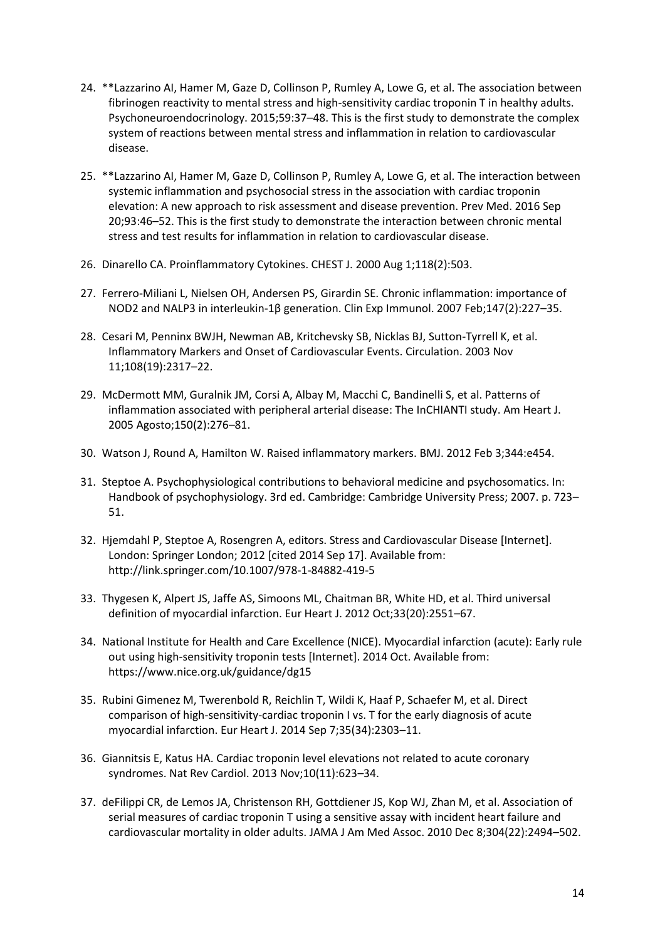- 24. \*\*Lazzarino AI, Hamer M, Gaze D, Collinson P, Rumley A, Lowe G, et al. The association between fibrinogen reactivity to mental stress and high-sensitivity cardiac troponin T in healthy adults. Psychoneuroendocrinology. 2015;59:37–48. This is the first study to demonstrate the complex system of reactions between mental stress and inflammation in relation to cardiovascular disease.
- 25. \*\*Lazzarino AI, Hamer M, Gaze D, Collinson P, Rumley A, Lowe G, et al. The interaction between systemic inflammation and psychosocial stress in the association with cardiac troponin elevation: A new approach to risk assessment and disease prevention. Prev Med. 2016 Sep 20;93:46–52. This is the first study to demonstrate the interaction between chronic mental stress and test results for inflammation in relation to cardiovascular disease.
- 26. Dinarello CA. Proinflammatory Cytokines. CHEST J. 2000 Aug 1;118(2):503.
- 27. Ferrero-Miliani L, Nielsen OH, Andersen PS, Girardin SE. Chronic inflammation: importance of NOD2 and NALP3 in interleukin-1β generation. Clin Exp Immunol. 2007 Feb;147(2):227–35.
- 28. Cesari M, Penninx BWJH, Newman AB, Kritchevsky SB, Nicklas BJ, Sutton-Tyrrell K, et al. Inflammatory Markers and Onset of Cardiovascular Events. Circulation. 2003 Nov 11;108(19):2317–22.
- 29. McDermott MM, Guralnik JM, Corsi A, Albay M, Macchi C, Bandinelli S, et al. Patterns of inflammation associated with peripheral arterial disease: The InCHIANTI study. Am Heart J. 2005 Agosto;150(2):276–81.
- 30. Watson J, Round A, Hamilton W. Raised inflammatory markers. BMJ. 2012 Feb 3;344:e454.
- 31. Steptoe A. Psychophysiological contributions to behavioral medicine and psychosomatics. In: Handbook of psychophysiology. 3rd ed. Cambridge: Cambridge University Press; 2007. p. 723– 51.
- 32. Hjemdahl P, Steptoe A, Rosengren A, editors. Stress and Cardiovascular Disease [Internet]. London: Springer London; 2012 [cited 2014 Sep 17]. Available from: http://link.springer.com/10.1007/978-1-84882-419-5
- 33. Thygesen K, Alpert JS, Jaffe AS, Simoons ML, Chaitman BR, White HD, et al. Third universal definition of myocardial infarction. Eur Heart J. 2012 Oct;33(20):2551–67.
- 34. National Institute for Health and Care Excellence (NICE). Myocardial infarction (acute): Early rule out using high-sensitivity troponin tests [Internet]. 2014 Oct. Available from: https://www.nice.org.uk/guidance/dg15
- 35. Rubini Gimenez M, Twerenbold R, Reichlin T, Wildi K, Haaf P, Schaefer M, et al. Direct comparison of high-sensitivity-cardiac troponin I vs. T for the early diagnosis of acute myocardial infarction. Eur Heart J. 2014 Sep 7;35(34):2303–11.
- 36. Giannitsis E, Katus HA. Cardiac troponin level elevations not related to acute coronary syndromes. Nat Rev Cardiol. 2013 Nov;10(11):623–34.
- 37. deFilippi CR, de Lemos JA, Christenson RH, Gottdiener JS, Kop WJ, Zhan M, et al. Association of serial measures of cardiac troponin T using a sensitive assay with incident heart failure and cardiovascular mortality in older adults. JAMA J Am Med Assoc. 2010 Dec 8;304(22):2494–502.